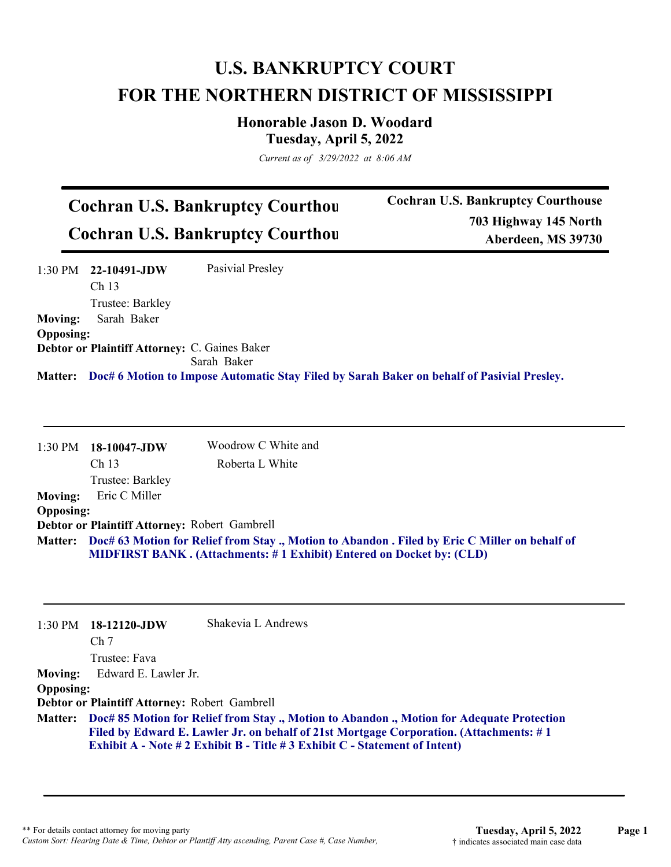## **U.S. BANKRUPTCY COURT FOR THE NORTHERN DISTRICT OF MISSISSIPPI**

**Honorable Jason D. Woodard Tuesday, April 5, 2022**

*Current as of 3/29/2022 at 8:06 AM*

## **Cochran U.S. Bankruptcy Courthou Cochran U.S. Bankruptcy Courthou**

**Cochran U.S. Bankruptcy Courthouse 703 Highway 145 North Aberdeen, MS 39730**

|                  | $1:30 \text{ PM}$ 22-10491-JDW                       | Pasivial Presley                                                                           |
|------------------|------------------------------------------------------|--------------------------------------------------------------------------------------------|
|                  | Ch <sub>13</sub>                                     |                                                                                            |
|                  | Trustee: Barkley                                     |                                                                                            |
| <b>Moving:</b>   | Sarah Baker                                          |                                                                                            |
| <b>Opposing:</b> |                                                      |                                                                                            |
|                  | <b>Debtor or Plaintiff Attorney: C. Gaines Baker</b> |                                                                                            |
|                  |                                                      | Sarah Baker                                                                                |
| <b>Matter:</b>   |                                                      | Doc# 6 Motion to Impose Automatic Stay Filed by Sarah Baker on behalf of Pasivial Presley. |

|                  | 1:30 PM 18-10047-JDW                          | Woodrow C White and                                                                                                                                                                   |
|------------------|-----------------------------------------------|---------------------------------------------------------------------------------------------------------------------------------------------------------------------------------------|
|                  | Ch <sub>13</sub>                              | Roberta L White                                                                                                                                                                       |
|                  | Trustee: Barkley                              |                                                                                                                                                                                       |
| <b>Moving:</b>   | Eric C Miller                                 |                                                                                                                                                                                       |
| <b>Opposing:</b> |                                               |                                                                                                                                                                                       |
|                  | Debtor or Plaintiff Attorney: Robert Gambrell |                                                                                                                                                                                       |
|                  |                                               | Matter: Doc# 63 Motion for Relief from Stay ., Motion to Abandon . Filed by Eric C Miller on behalf of<br><b>MIDFIRST BANK.</b> (Attachments: #1 Exhibit) Entered on Docket by: (CLD) |

|                  | $1:30 \text{ PM}$ 18-12120-JDW                                                                                                                                                                                                                                             | Shakevia L Andrews |
|------------------|----------------------------------------------------------------------------------------------------------------------------------------------------------------------------------------------------------------------------------------------------------------------------|--------------------|
|                  | Ch <sub>7</sub>                                                                                                                                                                                                                                                            |                    |
|                  | Trustee: Fava                                                                                                                                                                                                                                                              |                    |
| <b>Moving:</b>   | Edward E. Lawler Jr.                                                                                                                                                                                                                                                       |                    |
| <b>Opposing:</b> |                                                                                                                                                                                                                                                                            |                    |
|                  | Debtor or Plaintiff Attorney: Robert Gambrell                                                                                                                                                                                                                              |                    |
|                  | Matter: Doc# 85 Motion for Relief from Stay., Motion to Abandon., Motion for Adequate Protection<br>Filed by Edward E. Lawler Jr. on behalf of 21st Mortgage Corporation. (Attachments: #1)<br>Exhibit A - Note # 2 Exhibit B - Title # 3 Exhibit C - Statement of Intent) |                    |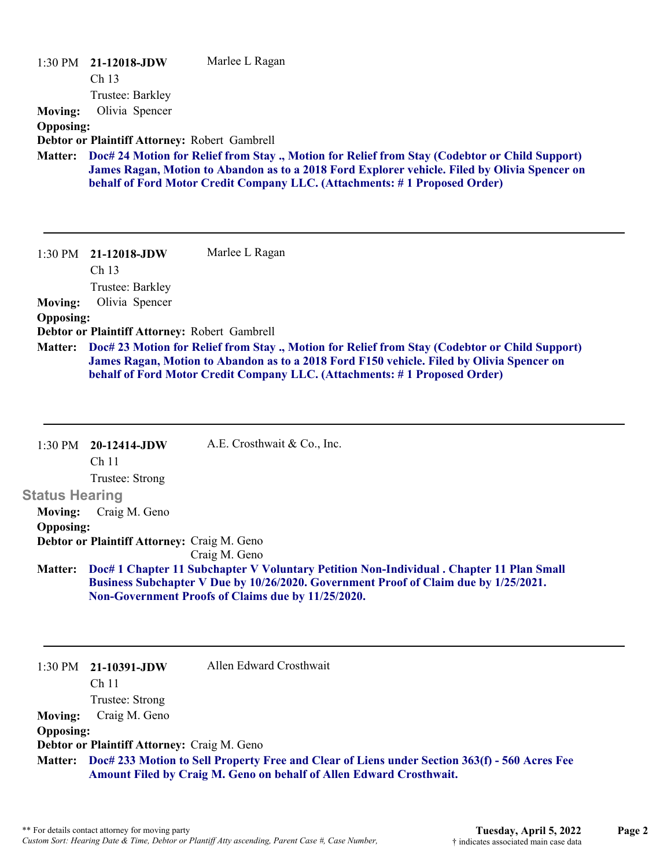| <b>Moving:</b><br><b>Opposing:</b>                                        | 1:30 PM 21-12018-JDW<br>Ch <sub>13</sub><br>Trustee: Barkley<br>Olivia Spencer<br>Debtor or Plaintiff Attorney: Robert Gambrell | Marlee L Ragan                                                                                                                                                                                                                                                                            |
|---------------------------------------------------------------------------|---------------------------------------------------------------------------------------------------------------------------------|-------------------------------------------------------------------------------------------------------------------------------------------------------------------------------------------------------------------------------------------------------------------------------------------|
| <b>Matter:</b>                                                            |                                                                                                                                 | Doc# 24 Motion for Relief from Stay ., Motion for Relief from Stay (Codebtor or Child Support)<br>James Ragan, Motion to Abandon as to a 2018 Ford Explorer vehicle. Filed by Olivia Spencer on<br>behalf of Ford Motor Credit Company LLC. (Attachments: #1 Proposed Order)              |
| $1:30 \text{ PM}$<br><b>Moving:</b><br><b>Opposing:</b><br><b>Matter:</b> | 21-12018-JDW<br>Ch 13<br>Trustee: Barkley<br>Olivia Spencer<br>Debtor or Plaintiff Attorney: Robert Gambrell                    | Marlee L Ragan<br>Doc# 23 Motion for Relief from Stay., Motion for Relief from Stay (Codebtor or Child Support)<br>James Ragan, Motion to Abandon as to a 2018 Ford F150 vehicle. Filed by Olivia Spencer on<br>behalf of Ford Motor Credit Company LLC. (Attachments: #1 Proposed Order) |

|                       | $1:30 \text{ PM}$ 20-12414-JDW                                                                                                                                                   | A.E. Crosthwait & Co., Inc.                        |  |
|-----------------------|----------------------------------------------------------------------------------------------------------------------------------------------------------------------------------|----------------------------------------------------|--|
|                       | Ch <sub>11</sub>                                                                                                                                                                 |                                                    |  |
|                       | Trustee: Strong                                                                                                                                                                  |                                                    |  |
| <b>Status Hearing</b> |                                                                                                                                                                                  |                                                    |  |
| <b>Moving:</b>        | Craig M. Geno                                                                                                                                                                    |                                                    |  |
| <b>Opposing:</b>      |                                                                                                                                                                                  |                                                    |  |
|                       | <b>Debtor or Plaintiff Attorney: Craig M. Geno</b>                                                                                                                               |                                                    |  |
|                       |                                                                                                                                                                                  | Craig M. Geno                                      |  |
| <b>Matter:</b>        | Doc# 1 Chapter 11 Subchapter V Voluntary Petition Non-Individual . Chapter 11 Plan Small<br>Business Subchapter V Due by 10/26/2020. Government Proof of Claim due by 1/25/2021. |                                                    |  |
|                       |                                                                                                                                                                                  | Non-Government Proofs of Claims due by 11/25/2020. |  |
|                       |                                                                                                                                                                                  |                                                    |  |

|                                             | $1:30 \text{ PM}$ 21-10391-JDW | Allen Edward Crosthwait                                                                               |
|---------------------------------------------|--------------------------------|-------------------------------------------------------------------------------------------------------|
|                                             | Ch 11                          |                                                                                                       |
|                                             | Trustee: Strong                |                                                                                                       |
| <b>Moving:</b>                              | Craig M. Geno                  |                                                                                                       |
| <b>Opposing:</b>                            |                                |                                                                                                       |
| Debtor or Plaintiff Attorney: Craig M. Geno |                                |                                                                                                       |
|                                             |                                | Matter: Doc# 233 Motion to Sell Property Free and Clear of Liens under Section 363(f) - 560 Acres Fee |
|                                             |                                | Amount Filed by Craig M. Geno on behalf of Allen Edward Crosthwait.                                   |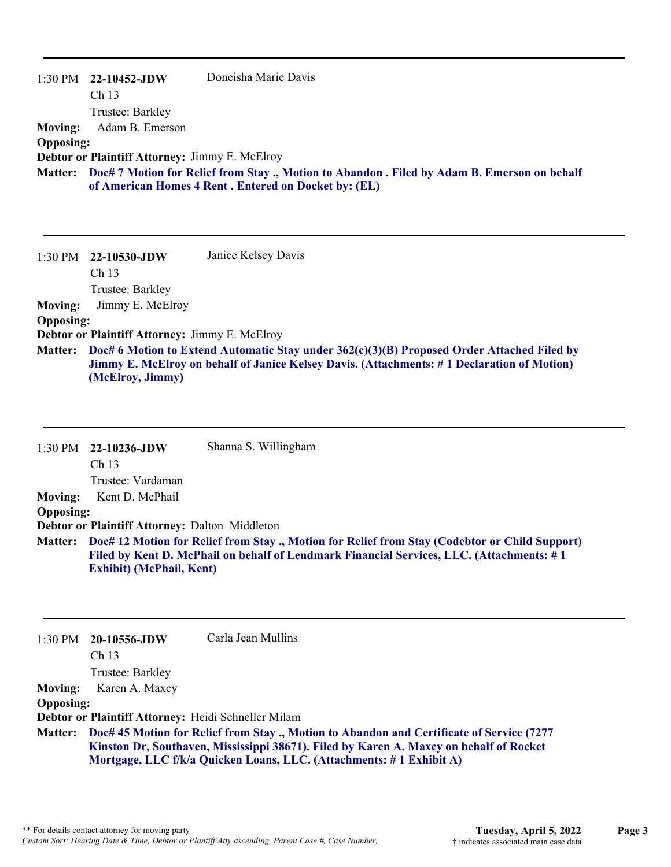|                  | $1:30 \text{ PM}$ 22-10452-JDW                                                                                                                             | Doneisha Marie Davis                                             |  |
|------------------|------------------------------------------------------------------------------------------------------------------------------------------------------------|------------------------------------------------------------------|--|
|                  | Ch <sub>13</sub>                                                                                                                                           |                                                                  |  |
|                  | Trustee: Barkley                                                                                                                                           |                                                                  |  |
| <b>Moving:</b>   | Adam B. Emerson                                                                                                                                            |                                                                  |  |
| <b>Opposing:</b> |                                                                                                                                                            |                                                                  |  |
|                  | <b>Debtor or Plaintiff Attorney: Jimmy E. McElroy</b>                                                                                                      |                                                                  |  |
|                  | Matter: Doc# 7 Motion for Relief from Stay., Motion to Abandon. Filed by Adam B. Emerson on behalf<br>of American Homes 4 Rent. Entered on Docket by: (EL) |                                                                  |  |
|                  |                                                                                                                                                            |                                                                  |  |
|                  |                                                                                                                                                            |                                                                  |  |
|                  | 그는 그는 그만 그만 그만 아니라 아이에 있어 있어요. 이 사람들은 어디에 있어요.                                                                                                             | $\mathbf{r}$ $\mathbf{r}$ $\mathbf{r}$ $\mathbf{r}$ $\mathbf{r}$ |  |

1:30 PM **22-10530-JDW**  Ch 13 Trustee: Barkley Janice Kelsey Davis **Moving:** Jimmy E. McElroy **Opposing: Debtor or Plaintiff Attorney:** Jimmy E. McElroy **Doc# 6 Motion to Extend Automatic Stay under 362(c)(3)(B) Proposed Order Attached Filed by Matter: Jimmy E. McElroy on behalf of Janice Kelsey Davis. (Attachments: # 1 Declaration of Motion) (McElroy, Jimmy)**

|                  | $1:30$ PM $22-10236$ -JDW                             | Shanna S. Willingham                                                                                   |
|------------------|-------------------------------------------------------|--------------------------------------------------------------------------------------------------------|
|                  | Ch <sub>13</sub>                                      |                                                                                                        |
|                  | Trustee: Vardaman                                     |                                                                                                        |
| <b>Moving:</b>   | Kent D. McPhail                                       |                                                                                                        |
| <b>Opposing:</b> |                                                       |                                                                                                        |
|                  | <b>Debtor or Plaintiff Attorney: Dalton Middleton</b> |                                                                                                        |
|                  |                                                       | Matter: Doc# 12 Motion for Relief from Stay ., Motion for Relief from Stay (Codebtor or Child Support) |
|                  |                                                       | Filed by Kent D. McPhail on behalf of Lendmark Financial Services, LLC. (Attachments: #1               |
|                  | <b>Exhibit) (McPhail, Kent)</b>                       |                                                                                                        |
|                  |                                                       |                                                                                                        |
|                  |                                                       |                                                                                                        |

1:30 PM **20-10556-JDW**  Ch 13 Trustee: Barkley Carla Jean Mullins **Moving:** Karen A. Maxcy **Opposing: Debtor or Plaintiff Attorney:** Heidi Schneller Milam **Doc# 45 Motion for Relief from Stay ., Motion to Abandon and Certificate of Service (7277 Matter: Kinston Dr, Southaven, Mississippi 38671). Filed by Karen A. Maxcy on behalf of Rocket Mortgage, LLC f/k/a Quicken Loans, LLC. (Attachments: # 1 Exhibit A)**